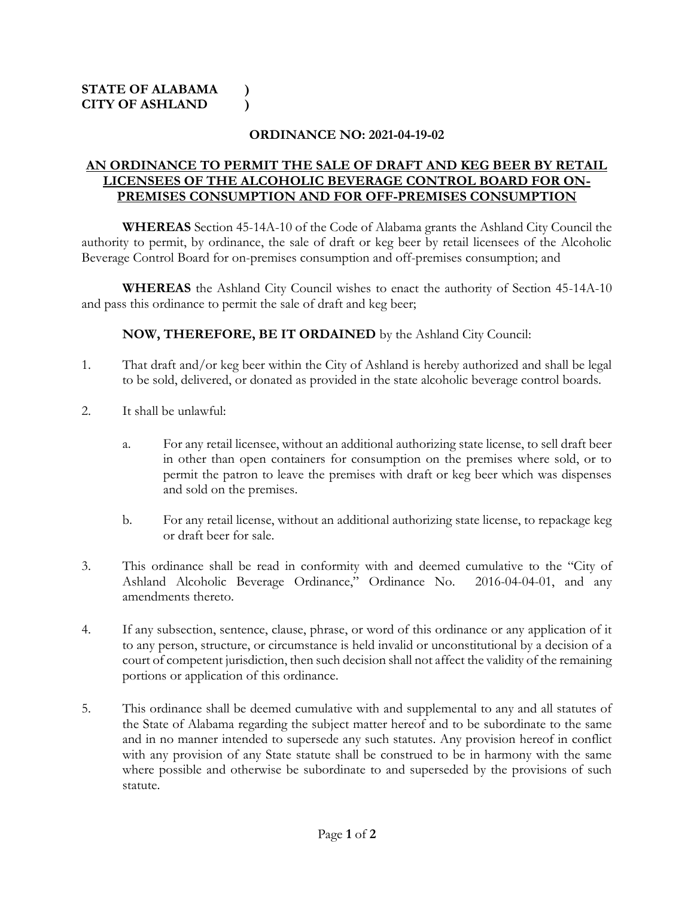## **ORDINANCE NO: 2021-04-19-02**

## **AN ORDINANCE TO PERMIT THE SALE OF DRAFT AND KEG BEER BY RETAIL LICENSEES OF THE ALCOHOLIC BEVERAGE CONTROL BOARD FOR ON-PREMISES CONSUMPTION AND FOR OFF-PREMISES CONSUMPTION**

**WHEREAS** Section 45-14A-10 of the Code of Alabama grants the Ashland City Council the authority to permit, by ordinance, the sale of draft or keg beer by retail licensees of the Alcoholic Beverage Control Board for on-premises consumption and off-premises consumption; and

**WHEREAS** the Ashland City Council wishes to enact the authority of Section 45-14A-10 and pass this ordinance to permit the sale of draft and keg beer;

**NOW, THEREFORE, BE IT ORDAINED** by the Ashland City Council:

- 1. That draft and/or keg beer within the City of Ashland is hereby authorized and shall be legal to be sold, delivered, or donated as provided in the state alcoholic beverage control boards.
- 2. It shall be unlawful:
	- a. For any retail licensee, without an additional authorizing state license, to sell draft beer in other than open containers for consumption on the premises where sold, or to permit the patron to leave the premises with draft or keg beer which was dispenses and sold on the premises.
	- b. For any retail license, without an additional authorizing state license, to repackage keg or draft beer for sale.
- 3. This ordinance shall be read in conformity with and deemed cumulative to the "City of Ashland Alcoholic Beverage Ordinance," Ordinance No. 2016-04-04-01, and any amendments thereto.
- 4. If any subsection, sentence, clause, phrase, or word of this ordinance or any application of it to any person, structure, or circumstance is held invalid or unconstitutional by a decision of a court of competent jurisdiction, then such decision shall not affect the validity of the remaining portions or application of this ordinance.
- 5. This ordinance shall be deemed cumulative with and supplemental to any and all statutes of the State of Alabama regarding the subject matter hereof and to be subordinate to the same and in no manner intended to supersede any such statutes. Any provision hereof in conflict with any provision of any State statute shall be construed to be in harmony with the same where possible and otherwise be subordinate to and superseded by the provisions of such statute.